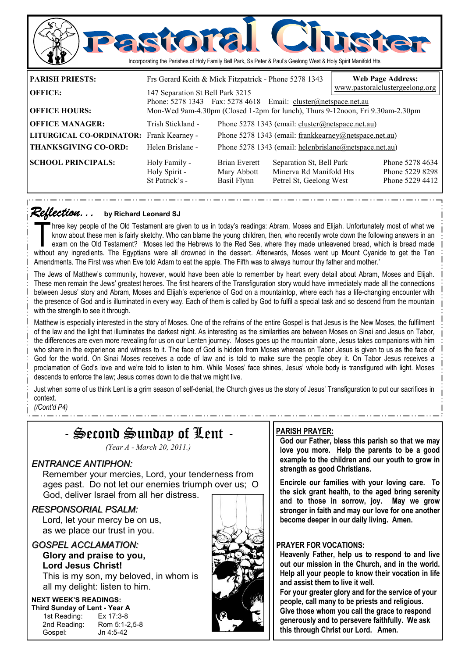

### *Reflection... Reflection...* **by Richard Leonard SJ**

Three key people of the Old Testament are given to us in today's readings: Abram, Moses and Elijah. Unfortunately most of what we<br>know about these men is fairly sketchy. Who can blame the young children, then, who recently know about these men is fairly sketchy. Who can blame the young children, then, who recently wrote down the following answers in an exam on the Old Testament? 'Moses led the Hebrews to the Red Sea, where they made unleavened bread, which is bread made without any ingredients. The Egyptians were all drowned in the dessert. Afterwards, Moses went up Mount Cyanide to get the Ten Amendments. The First was when Eve told Adam to eat the apple. The Fifth was to always humour thy father and mother.'

The Jews of Matthew's community, however, would have been able to remember by heart every detail about Abram, Moses and Elijah. These men remain the Jews' greatest heroes. The first hearers of the Transfiguration story would have immediately made all the connections between Jesus' story and Abram, Moses and Elijah's experience of God on a mountaintop, where each has a life-changing encounter with the presence of God and is illuminated in every way. Each of them is called by God to fulfil a special task and so descend from the mountain with the strength to see it through.

Matthew is especially interested in the story of Moses. One of the refrains of the entire Gospel is that Jesus is the New Moses, the fulfilment of the law and the light that illuminates the darkest night. As interesting as the similarities are between Moses on Sinai and Jesus on Tabor, the differences are even more revealing for us on our Lenten journey. Moses goes up the mountain alone, Jesus takes companions with him who share in the experience and witness to it. The face of God is hidden from Moses whereas on Tabor Jesus is given to us as the face of God for the world. On Sinai Moses receives a code of law and is told to make sure the people obey it. On Tabor Jesus receives a proclamation of God's love and we're told to listen to him. While Moses' face shines, Jesus' whole body is transfigured with light. Moses descends to enforce the law; Jesus comes down to die that we might live.

Just when some of us think Lent is a grim season of self-denial, the Church gives us the story of Jesus' Transfiguration to put our sacrifices in context.

*(/Cont'd P4)* 

# - Second Sunday of Lent -

*(Year A - March 20, 2011.)* 

### *ENTRANCE ANTIPHON:*

 Remember your mercies, Lord, your tenderness from ages past. Do not let our enemies triumph over us; O God, deliver Israel from all her distress.

### *RESPONSORIAL PSALM:*

 Lord, let your mercy be on us, as we place our trust in you.

### *GOSPEL ACCLAMATION:* **Glory and praise to you, Lord Jesus Christ!**

This is my son, my beloved, in whom is all my delight: listen to him.

### **NEXT WEEK'S READINGS:**

**Third Sunday of Lent - Year A**  1st Reading: Ex 17:3-8 2nd Reading: Rom 5:1-2,5-8 Gospel: Jn 4:5-42



### **PARISH PRAYER:**

**God our Father, bless this parish so that we may love you more. Help the parents to be a good example to the children and our youth to grow in strength as good Christians.** 

**Encircle our families with your loving care. To the sick grant health, to the aged bring serenity and to those in sorrow, joy. May we grow stronger in faith and may our love for one another become deeper in our daily living. Amen.** 

### **PRAYER FOR VOCATIONS:**

**Heavenly Father, help us to respond to and live out our mission in the Church, and in the world. Help all your people to know their vocation in life and assist them to live it well.** 

**For your greater glory and for the service of your people, call many to be priests and religious. Give those whom you call the grace to respond generously and to persevere faithfully. We ask this through Christ our Lord. Amen.**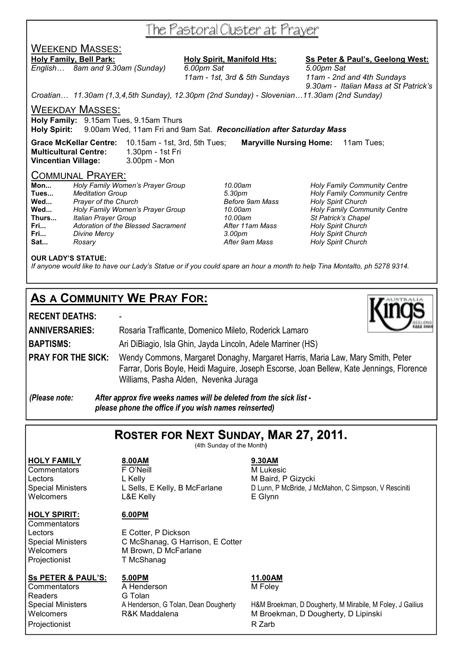# The Pastoral Cluster at Prayer

## WEEKEND MASSES:

*English… 8am and 9.30am (Sunday) 6.00pm Sat 5.00pm Sat 11am - 1st, 3rd & 5th Sundays 11am - 2nd and 4th Sundays* 

# **Holy Family, Bell Park: Holy Spirit, Manifold Hts: Ss Peter & Paul's, Geelong West:**

 *9.30am - Italian Mass at St Patrick's* 

*Croatian… 11.30am (1,3,4,5th Sunday), 12.30pm (2nd Sunday) - Slovenian…11.30am (2nd Sunday)* 

### WEEKDAY MASSES:

**Holy Family:** 9.15am Tues, 9.15am Thurs

**Holy Spirit:** 9.00am Wed, 11am Fri and 9am Sat. *Reconciliation after Saturday Mass* 

**Grace McKellar Centre:** 10.15am - 1st, 3rd, 5th Tues; **Maryville Nursing Home:** 11am Tues; **Multicultural Centre:** 1.30pm - 1st Fri **Vincentian Village:** 3.00pm - Mon

### COMMUNAL PRAYER:

| Mon   | Holy Family Women's Prayer Group   | 10.00am         | <b>Holy Family Community Centre</b> |
|-------|------------------------------------|-----------------|-------------------------------------|
| Tues  | <b>Meditation Group</b>            | 5.30pm          | <b>Holy Family Community Centre</b> |
| Wed   | Prayer of the Church               | Before 9am Mass | <b>Holy Spirit Church</b>           |
| Wed   | Holy Family Women's Prayer Group   | 10.00am         | <b>Holy Family Community Centre</b> |
| Thurs | Italian Prayer Group               | 10.00am         | St Patrick's Chapel                 |
| Fri   | Adoration of the Blessed Sacrament | After 11am Mass | <b>Holy Spirit Church</b>           |
| Fri   | Divine Mercy                       | 3.00pm          | <b>Holy Spirit Church</b>           |
| Sat   | Rosarv                             | After 9am Mass  | <b>Holy Spirit Church</b>           |
|       |                                    |                 |                                     |

### **OUR LADY'S STATUE:**

*If anyone would like to have our Lady's Statue or if you could spare an hour a month to help Tina Montalto, ph 5278 9314.* 

## **AS A COMMUNITY WE PRAY FOR:**

### **RECENT DEATHS:** -

**ANNIVERSARIES:** Rosaria Trafficante, Domenico Mileto, Roderick Lamaro

**BAPTISMS:** Ari DiBiagio, Isla Ghin, Jayda Lincoln, Adele Marriner (HS)

**PRAY FOR THE SICK:** Wendy Commons, Margaret Donaghy, Margaret Harris, Maria Law, Mary Smith, Peter Farrar, Doris Boyle, Heidi Maguire, Joseph Escorse, Joan Bellew, Kate Jennings, Florence Williams, Pasha Alden, Nevenka Juraga

*(Please note: After approx five weeks names will be deleted from the sick list please phone the office if you wish names reinserted)* 

**ROSTER FOR NEXT SUNDAY, MAR 27, 2011.**

(4th Sunday of the Month**)** 

**HOLY FAMILY 8.00AM 9.30AM**

Commentators **F** O'Neill **M** Lukesic Lectors Lectors L Kelly Lectors Controller M Baird, P Gizycki Welcomers L&E Kelly **E Glynn** 

### **HOLY SPIRIT: 6.00PM**

**Commentators** Projectionist T McShanag

Lectors E Cotter, P Dickson Special Ministers C McShanag, G Harrison, E Cotter Welcomers M Brown, D McFarlane

### **Ss PETER & PAUL'S: 5.00PM 11.00AM**

Readers G Tolan Projectionist R Zarb

Commentators **A** Henderson **M** Foley

Special Ministers L Sells, E Kelly, B McFarlane D Lunn, P McBride, J McMahon, C Simpson, V Resciniti

Special Ministers **A Henderson, G Tolan, Dean Dougherty** H&M Broekman, D Dougherty, M Mirabile, M Foley, J Gailius Welcomers **R&K Maddalena** M Broekman, D Dougherty, D Lipinski

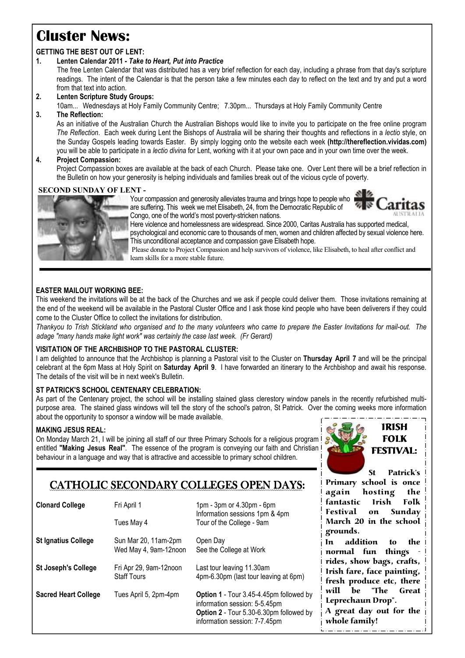# **Cluster News:**

### **GETTING THE BEST OUT OF LENT:**

**1. Lenten Calendar 2011 -** *Take to Heart, Put into Practice*

The free Lenten Calendar that was distributed has a very brief reflection for each day, including a phrase from that day's scripture readings. The intent of the Calendar is that the person take a few minutes each day to reflect on the text and try and put a word from that text into action.

- **2. Lenten Scripture Study Groups:**
- 10am... Wednesdays at Holy Family Community Centre; 7.30pm... Thursdays at Holy Family Community Centre<br>3. The Reflection:

### **3. The Reflection:**

 As an initiative of the Australian Church the Australian Bishops would like to invite you to participate on the free online program *The Reflection*. Each week during Lent the Bishops of Australia will be sharing their thoughts and reflections in a *lectio* style, on the Sunday Gospels leading towards Easter. By simply logging onto the website each week **(http://thereflection.vividas.com)**  you will be able to participate in a *lectio divina* for Lent, working with it at your own pace and in your own time over the week.

### **4. Project Compassion:**

 Project Compassion boxes are available at the back of each Church. Please take one. Over Lent there will be a brief reflection in the Bulletin on how your generosity is helping individuals and families break out of the vicious cycle of poverty.

### **SECOND SUNDAY OF LENT -**



Your compassion and generosity alleviates trauma and brings hope to people who are suffering. This week we met Elisabeth, 24, from the Democratic Republic of Congo, one of the world's most poverty-stricken nations.



Here violence and homelessness are widespread. Since 2000, Caritas Australia has supported medical, psychological and economic care to thousands of men, women and children affected by sexual violence here. This unconditional acceptance and compassion gave Elisabeth hope.

 Please donate to Project Compassion and help survivors of violence, like Elisabeth, to heal after conflict and learn skills for a more stable future.

### **EASTER MAILOUT WORKING BEE:**

This weekend the invitations will be at the back of the Churches and we ask if people could deliver them. Those invitations remaining at the end of the weekend will be available in the Pastoral Cluster Office and I ask those kind people who have been deliverers if they could come to the Cluster Office to collect the invitations for distribution.

*Thankyou to Trish Stickland who organised and to the many volunteers who came to prepare the Easter Invitations for mail-out. The adage "many hands make light work" was certainly the case last week. (Fr Gerard)* 

### **VISITATION OF THE ARCHBISHOP TO THE PASTORAL CLUSTER:**

I am delighted to announce that the Archbishop is planning a Pastoral visit to the Cluster on **Thursday April 7** and will be the principal celebrant at the 6pm Mass at Holy Spirit on **Saturday April 9**. I have forwarded an itinerary to the Archbishop and await his response. The details of the visit will be in next week's Bulletin.

### **ST PATRICK'S SCHOOL CENTENARY CELEBRATION:**

As part of the Centenary project, the school will be installing stained glass clerestory window panels in the recently refurbished multipurpose area. The stained glass windows will tell the story of the school's patron, St Patrick. Over the coming weeks more information about the opportunity to sponsor a window will be made available.

### **MAKING JESUS REAL:**

On Monday March 21, I will be joining all staff of our three Primary Schools for a religious program I entitled **"Making Jesus Real"**. The essence of the program is conveying our faith and Christian behaviour in a language and way that is attractive and accessible to primary school children.

## CATHOLIC SECONDARY COLLEGES OPEN DAYS:

| <b>Clonard College</b>      | Fri April 1                                   | 1pm - 3pm or 4.30pm - 6pm<br>Information sessions 1pm & 4pm                                                                                          | fantastic<br>Festival                                    |
|-----------------------------|-----------------------------------------------|------------------------------------------------------------------------------------------------------------------------------------------------------|----------------------------------------------------------|
|                             | Tues May 4                                    | Tour of the College - 9am                                                                                                                            | March 20<br>grounds.                                     |
| <b>St Ignatius College</b>  | Sun Mar 20, 11am-2pm<br>Wed May 4, 9am-12noon | Open Day<br>See the College at Work                                                                                                                  | addi<br>1n<br>normal                                     |
| <b>St Joseph's College</b>  | Fri Apr 29, 9am-12noon<br><b>Staff Tours</b>  | Last tour leaving 11.30am<br>4pm-6.30pm (last tour leaving at 6pm)                                                                                   | rides, sho<br>Irish fare,<br>fresh prod                  |
| <b>Sacred Heart College</b> | Tues April 5, 2pm-4pm                         | Option 1 - Tour 3.45-4.45pm followed by<br>information session: 5-5.45pm<br>Option 2 - Tour 5.30-6.30pm followed by<br>information session: 7-7.45pm | will<br>be<br><b>Leprechai</b><br>A great d<br>whole fan |



St Patrick's

again hosting the lrish Folk on Sunday in the school In addition to the fun things w bags, crafts, face painting, duce etc, there "The Great <mark>un Drop".</mark> ay out for the uily!

Primary school is once